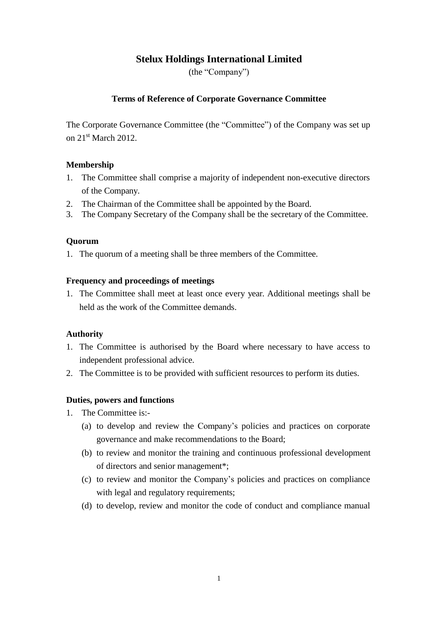# **Stelux Holdings International Limited**

(the "Company")

## **Terms of Reference of Corporate Governance Committee**

The Corporate Governance Committee (the "Committee") of the Company was set up on 21<sup>st</sup> March 2012.

### **Membership**

- 1. The Committee shall comprise a majority of independent non-executive directors of the Company.
- 2. The Chairman of the Committee shall be appointed by the Board.
- 3. The Company Secretary of the Company shall be the secretary of the Committee.

## **Quorum**

1. The quorum of a meeting shall be three members of the Committee.

### **Frequency and proceedings of meetings**

1. The Committee shall meet at least once every year. Additional meetings shall be held as the work of the Committee demands.

### **Authority**

- 1. The Committee is authorised by the Board where necessary to have access to independent professional advice.
- 2. The Committee is to be provided with sufficient resources to perform its duties.

### **Duties, powers and functions**

- 1. The Committee is:-
	- (a) to develop and review the Company's policies and practices on corporate governance and make recommendations to the Board;
	- (b) to review and monitor the training and continuous professional development of directors and senior management\*;
	- (c) to review and monitor the Company's policies and practices on compliance with legal and regulatory requirements;
	- (d) to develop, review and monitor the code of conduct and compliance manual